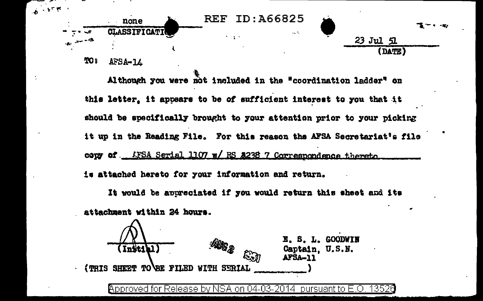

TO: AFSA-14

Although you were not included in the "coordination ladder" on this letter, it appears to be of sufficient interest to you that it should be specifically brought to your attention prior to your picking it up in the Reading File. For this reason the AFSA Secretariat's file comy of ... AFSA Serial 1107 w/ RS 2238 7 Correspondence thereto... is attached hereto for your information and return.

It would be appreciated if you would return this sheet and its attachment within 24 hours.

E. S. L. GOODWIN **AUG R** (Intelal Captain. U.S.N. AFSA-11 (TRIS SHEET TO BE FILED WITH SERIAL

Approved for Release by NSA on 04-03-2014 pursuant to E.O. 13520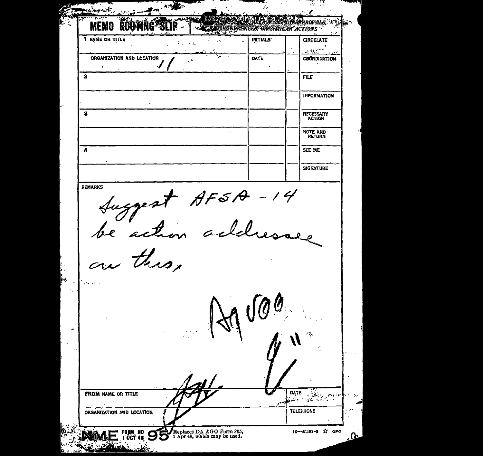$-\sqrt{2}$ .<br>المناسبين فمكل PODALS **MEMO** Roun **CURRENCES OR SPAIN AR ACTIONS 1 NAME OR TITLE** INITIALS **CIRCULATE**  $\mathcal{L}_{\rm{max}}$  $\sim 10$ المسري ORGANIZATION AND LOCATION **DATE** COORDINATION  $\ddot{\phantom{1}}$  $\overline{2}$ **FILE INFORMATION**  $\overline{\mathbf{s}}$ NECESSARY NOTE AND 7 SEE ME **SIGNATURE** REMARKS Suggest AFSA-14<br>be action acted. this. DATE FROM NAME OR TITLE  $\sim 30$  .  $\sim 80$ : من المعرض.<br>المحمد المعرض المحمد **TELEPHONE** ORGANIZATION AND LOCATION FORM NO SOLO Replaces DA AGO Form 895, 1 OCT 48 SOLO P1 Apr 48, which may be used. 15-48187-3 X GPO .Ռ متحفظة بخلصت